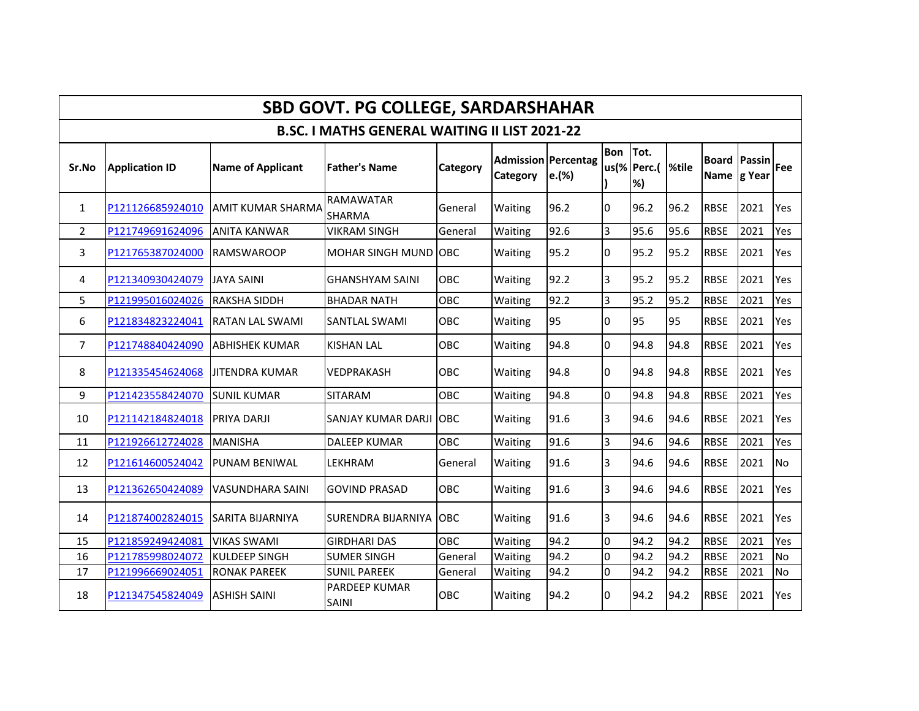| <b>SBD GOVT. PG COLLEGE, SARDARSHAHAR</b>            |                       |                          |                            |                 |                                        |       |              |                             |      |             |                                    |           |
|------------------------------------------------------|-----------------------|--------------------------|----------------------------|-----------------|----------------------------------------|-------|--------------|-----------------------------|------|-------------|------------------------------------|-----------|
| <b>B.SC. I MATHS GENERAL WAITING II LIST 2021-22</b> |                       |                          |                            |                 |                                        |       |              |                             |      |             |                                    |           |
| Sr.No                                                | <b>Application ID</b> | Name of Applicant        | <b>Father's Name</b>       | <b>Category</b> | <b>Admission Percentag</b><br>Category | e.(%) | Bon Tot.     | us(%   Perc.(   %tile<br>%) |      |             | <b>Board Passin</b><br>Name g Year | Fee       |
| 1                                                    | P121126685924010      | <b>AMIT KUMAR SHARMA</b> | <b>RAMAWATAR</b><br>SHARMA | General         | Waiting                                | 96.2  | $\Omega$     | 96.2                        | 96.2 | <b>RBSE</b> | 2021                               | Yes       |
| 2                                                    | P121749691624096      | <b>ANITA KANWAR</b>      | <b>VIKRAM SINGH</b>        | General         | Waiting                                | 92.6  | 3            | 95.6                        | 95.6 | <b>RBSE</b> | 2021                               | Yes       |
| 3                                                    | P121765387024000      | <b>RAMSWAROOP</b>        | MOHAR SINGH MUND OBC       |                 | Waiting                                | 95.2  | 0            | 95.2                        | 95.2 | <b>RBSE</b> | 2021                               | Yes       |
| 4                                                    | P121340930424079      | <b>JAYA SAINI</b>        | <b>GHANSHYAM SAINI</b>     | OBC             | Waiting                                | 92.2  | 3            | 95.2                        | 95.2 | <b>RBSE</b> | 2021                               | Yes       |
| 5                                                    | P121995016024026      | <b>RAKSHA SIDDH</b>      | <b>BHADAR NATH</b>         | OBC             | Waiting                                | 92.2  | 3            | 95.2                        | 95.2 | <b>RBSE</b> | 2021                               | Yes       |
| 6                                                    | P121834823224041      | <b>RATAN LAL SWAMI</b>   | <b>SANTLAL SWAMI</b>       | OBC             | Waiting                                | 95    | 0            | 95                          | 95   | <b>RBSE</b> | 2021                               | Yes       |
| $\overline{7}$                                       | P121748840424090      | <b>ABHISHEK KUMAR</b>    | <b>KISHAN LAL</b>          | OBC             | Waiting                                | 94.8  | $\Omega$     | 94.8                        | 94.8 | <b>RBSE</b> | 2021                               | Yes       |
| 8                                                    | P121335454624068      | <b>JITENDRA KUMAR</b>    | <b>VEDPRAKASH</b>          | OBC             | Waiting                                | 94.8  | 0            | 94.8                        | 94.8 | <b>RBSE</b> | 2021                               | Yes       |
| 9                                                    | P121423558424070      | <b>SUNIL KUMAR</b>       | <b>SITARAM</b>             | OBC             | Waiting                                | 94.8  | $\Omega$     | 94.8                        | 94.8 | <b>RBSE</b> | 2021                               | Yes       |
| 10                                                   | P121142184824018      | PRIYA DARJI              | SANJAY KUMAR DARJI OBC     |                 | Waiting                                | 91.6  | 3            | 94.6                        | 94.6 | <b>RBSE</b> | 2021                               | Yes       |
| 11                                                   | P121926612724028      | <b>MANISHA</b>           | <b>DALEEP KUMAR</b>        | OBC             | Waiting                                | 91.6  | 3            | 94.6                        | 94.6 | <b>RBSE</b> | 2021                               | Yes       |
| 12                                                   | P121614600524042      | <b>PUNAM BENIWAL</b>     | LEKHRAM                    | General         | Waiting                                | 91.6  | 3            | 94.6                        | 94.6 | <b>RBSE</b> | 2021                               | <b>No</b> |
| 13                                                   | P121362650424089      | <b>VASUNDHARA SAINI</b>  | <b>GOVIND PRASAD</b>       | <b>OBC</b>      | Waiting                                | 91.6  | 3            | 94.6                        | 94.6 | <b>RBSE</b> | 2021                               | Yes       |
| 14                                                   | P121874002824015      | <b>SARITA BIJARNIYA</b>  | SURENDRA BIJARNIYA         | OBC             | Waiting                                | 91.6  | 3            | 94.6                        | 94.6 | <b>RBSE</b> | 2021                               | Yes       |
| 15                                                   | P121859249424081      | <b>VIKAS SWAMI</b>       | <b>GIRDHARI DAS</b>        | OBC             | Waiting                                | 94.2  | $\Omega$     | 94.2                        | 94.2 | <b>RBSE</b> | 2021                               | Yes       |
| 16                                                   | P121785998024072      | <b>KULDEEP SINGH</b>     | <b>SUMER SINGH</b>         | General         | Waiting                                | 94.2  | <sup>o</sup> | 94.2                        | 94.2 | <b>RBSE</b> | 2021                               | No        |
| 17                                                   | P121996669024051      | <b>RONAK PAREEK</b>      | <b>SUNIL PAREEK</b>        | General         | Waiting                                | 94.2  | <sup>o</sup> | 94.2                        | 94.2 | <b>RBSE</b> | 2021                               | No        |
| 18                                                   | P121347545824049      | <b>ASHISH SAINI</b>      | PARDEEP KUMAR<br>SAINI     | OBC             | Waiting                                | 94.2  | 0            | 94.2                        | 94.2 | <b>RBSE</b> | 2021                               | Yes       |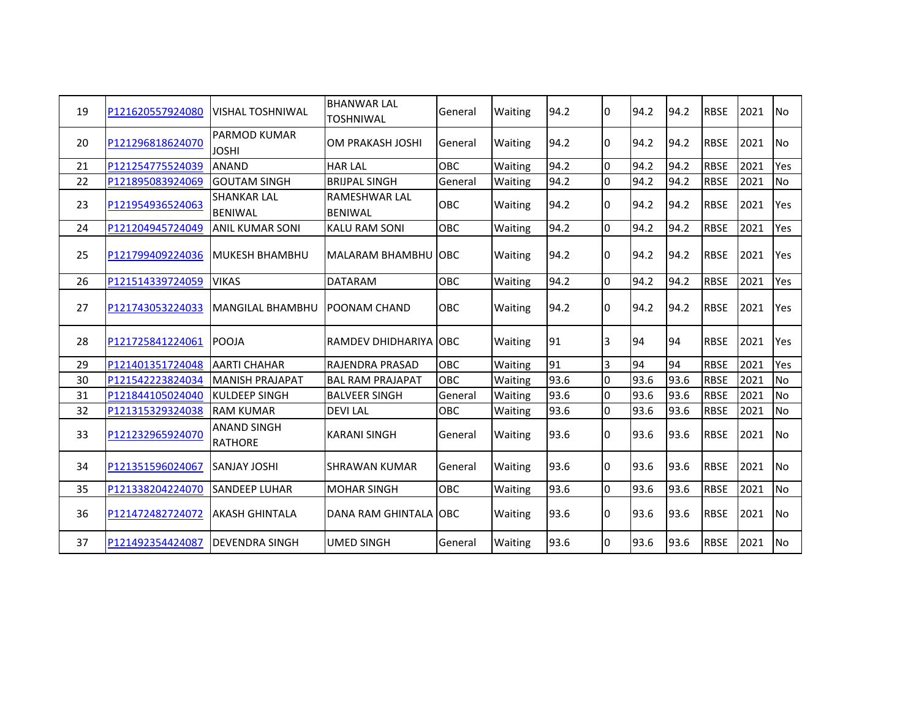| 19 | P121620557924080 | <b>VISHAL TOSHNIWAL</b>              | <b>BHANWAR LAL</b><br><b>TOSHNIWAL</b> | General    | Waiting | 94.2 | I٥             | 94.2 | 94.2 | <b>RBSE</b> | 2021 | <b>No</b>      |
|----|------------------|--------------------------------------|----------------------------------------|------------|---------|------|----------------|------|------|-------------|------|----------------|
| 20 | P121296818624070 | PARMOD KUMAR<br><b>JOSHI</b>         | OM PRAKASH JOSHI                       | General    | Waiting | 94.2 | 10             | 94.2 | 94.2 | <b>RBSE</b> | 2021 | <b>No</b>      |
| 21 | P121254775524039 | <b>ANAND</b>                         | <b>HAR LAL</b>                         | OBC        | Waiting | 94.2 | l0             | 94.2 | 94.2 | <b>RBSE</b> | 2021 | Yes            |
| 22 | P121895083924069 | <b>GOUTAM SINGH</b>                  | <b>BRIJPAL SINGH</b>                   | General    | Waiting | 94.2 | I٥             | 94.2 | 94.2 | <b>RBSE</b> | 2021 | <b>No</b>      |
| 23 | P121954936524063 | <b>SHANKAR LAL</b><br><b>BENIWAL</b> | <b>RAMESHWAR LAL</b><br><b>BENIWAL</b> | <b>OBC</b> | Waiting | 94.2 | I٥             | 94.2 | 94.2 | <b>RBSE</b> | 2021 | Yes            |
| 24 | P121204945724049 | <b>ANIL KUMAR SONI</b>               | <b>KALU RAM SONI</b>                   | OBC        | Waiting | 94.2 | l0             | 94.2 | 94.2 | <b>RBSE</b> | 2021 | Yes            |
| 25 | P121799409224036 | <b>MUKESH BHAMBHU</b>                | MALARAM BHAMBHU OBC                    |            | Waiting | 94.2 | 10             | 94.2 | 94.2 | <b>RBSE</b> | 2021 | Yes            |
| 26 | P121514339724059 | <b>VIKAS</b>                         | <b>DATARAM</b>                         | OBC        | Waiting | 94.2 | I٥             | 94.2 | 94.2 | <b>RBSE</b> | 2021 | Yes            |
| 27 | P121743053224033 | <b>MANGILAL BHAMBHU</b>              | <b>POONAM CHAND</b>                    | OBC        | Waiting | 94.2 | 10             | 94.2 | 94.2 | <b>RBSE</b> | 2021 | Yes            |
| 28 | P121725841224061 | POOJA                                | <b>RAMDEV DHIDHARIYA OBC</b>           |            | Waiting | 91   | 3              | 94   | 94   | <b>RBSE</b> | 2021 | Yes            |
| 29 | P121401351724048 | <b>AARTI CHAHAR</b>                  | <b>RAJENDRA PRASAD</b>                 | OBC        | Waiting | 91   | $\overline{3}$ | 94   | 94   | <b>RBSE</b> | 2021 | Yes            |
| 30 | P121542223824034 | <b>MANISH PRAJAPAT</b>               | <b>BAL RAM PRAJAPAT</b>                | <b>OBC</b> | Waiting | 93.6 | I0             | 93.6 | 93.6 | <b>RBSE</b> | 2021 | N <sub>O</sub> |
| 31 | P121844105024040 | <b>KULDEEP SINGH</b>                 | <b>BALVEER SINGH</b>                   | General    | Waiting | 93.6 | I٥             | 93.6 | 93.6 | <b>RBSE</b> | 2021 | <b>No</b>      |
| 32 | P121315329324038 | <b>RAM KUMAR</b>                     | <b>DEVILAL</b>                         | OBC        | Waiting | 93.6 | I٥             | 93.6 | 93.6 | <b>RBSE</b> | 2021 | <b>No</b>      |
| 33 | P121232965924070 | <b>ANAND SINGH</b><br><b>RATHORE</b> | <b>KARANI SINGH</b>                    | General    | Waiting | 93.6 | I۵             | 93.6 | 93.6 | <b>RBSE</b> | 2021 | <b>No</b>      |
| 34 | P121351596024067 | <b>SANJAY JOSHI</b>                  | <b>SHRAWAN KUMAR</b>                   | General    | Waiting | 93.6 | 10             | 93.6 | 93.6 | <b>RBSE</b> | 2021 | <b>No</b>      |
| 35 | P121338204224070 | <b>SANDEEP LUHAR</b>                 | <b>MOHAR SINGH</b>                     | OBC        | Waiting | 93.6 | $\Omega$       | 93.6 | 93.6 | <b>RBSE</b> | 2021 | <b>No</b>      |
| 36 | P121472482724072 | <b>AKASH GHINTALA</b>                | DANA RAM GHINTALA OBC                  |            | Waiting | 93.6 | 10             | 93.6 | 93.6 | <b>RBSE</b> | 2021 | <b>No</b>      |
| 37 | P121492354424087 | IDEVENDRA SINGH                      | <b>UMED SINGH</b>                      | General    | Waiting | 93.6 | I٥             | 93.6 | 93.6 | <b>RBSE</b> | 2021 | <b>No</b>      |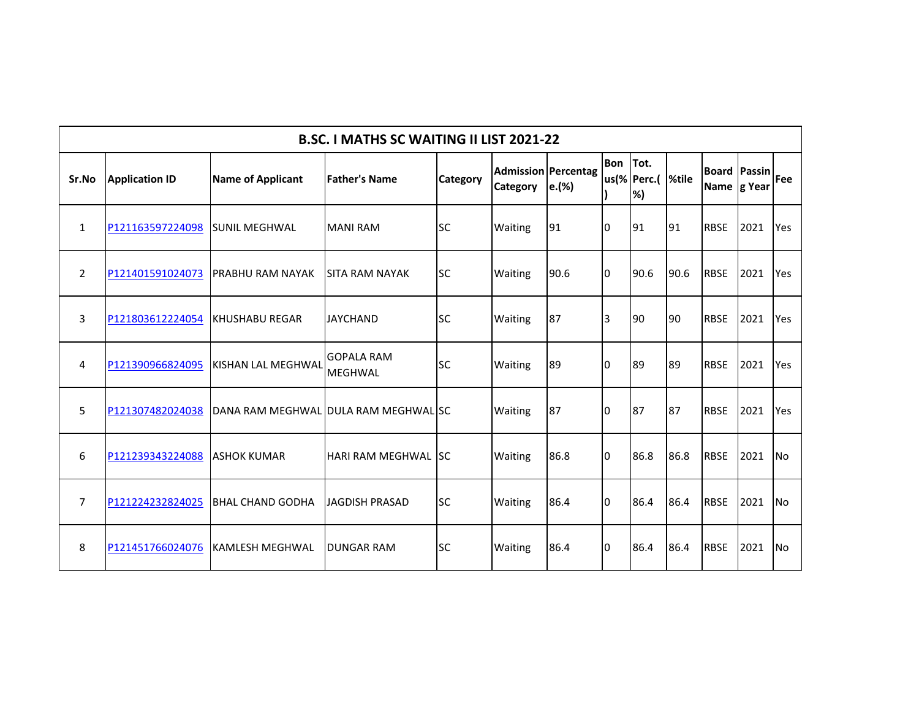| <b>B.SC. I MATHS SC WAITING II LIST 2021-22</b> |                       |                                      |                                     |                 |                |                                     |              |                          |      |                             |               |            |
|-------------------------------------------------|-----------------------|--------------------------------------|-------------------------------------|-----------------|----------------|-------------------------------------|--------------|--------------------------|------|-----------------------------|---------------|------------|
| Sr.No                                           | <b>Application ID</b> | <b>Name of Applicant</b>             | <b>Father's Name</b>                | <b>Category</b> | Category       | <b>Admission Percentag</b><br>e.(%) | Bon Tot.     | us(% Perc.(  %tile<br>%) |      | <b>Board</b><br>Name g Year | <b>Passin</b> | <b>Fee</b> |
| $\mathbf{1}$                                    | P121163597224098      | <b>SUNIL MEGHWAL</b>                 | <b>MANI RAM</b>                     | <b>SC</b>       | <b>Waiting</b> | 91                                  | l0           | 91                       | 91   | <b>RBSE</b>                 | 2021          | <b>Yes</b> |
| $\overline{2}$                                  | P121401591024073      | <b>PRABHU RAM NAYAK</b>              | <b>SITA RAM NAYAK</b>               | <b>SC</b>       | Waiting        | 90.6                                | l0           | 90.6                     | 90.6 | <b>RBSE</b>                 | 2021          | Yes        |
| 3                                               | P121803612224054      | <b>KHUSHABU REGAR</b>                | <b>JAYCHAND</b>                     | <b>SC</b>       | <b>Waiting</b> | 87                                  | 3            | 90                       | 90   | <b>RBSE</b>                 | 2021          | <b>Yes</b> |
| 4                                               | P121390966824095      | <b>KISHAN LAL MEGHWAL</b>            | <b>GOPALA RAM</b><br><b>MEGHWAL</b> | <b>SC</b>       | Waiting        | 89                                  | <sup>0</sup> | 89                       | 89   | <b>RBSE</b>                 | 2021          | Yes        |
| 5                                               | P121307482024038      | DANA RAM MEGHWAL DULA RAM MEGHWAL SC |                                     |                 | Waiting        | 87                                  | <sup>0</sup> | 187                      | 87   | <b>RBSE</b>                 | 2021          | <b>Yes</b> |
| 6                                               | P121239343224088      | <b>ASHOK KUMAR</b>                   | <b>HARI RAM MEGHWAL ISC</b>         |                 | <b>Waiting</b> | 86.8                                | l0           | 86.8                     | 86.8 | <b>RBSE</b>                 | 2021          | <b>INo</b> |
| $\overline{7}$                                  | P121224232824025      | <b>BHAL CHAND GODHA</b>              | <b>JAGDISH PRASAD</b>               | <b>SC</b>       | Waiting        | 86.4                                | I٥           | 86.4                     | 86.4 | <b>RBSE</b>                 | 2021          | <b>INo</b> |
| 8                                               | P121451766024076      | <b>KAMLESH MEGHWAL</b>               | <b>DUNGAR RAM</b>                   | <b>SC</b>       | Waiting        | 86.4                                | l0           | 86.4                     | 86.4 | <b>RBSE</b>                 | 2021          | <b>No</b>  |